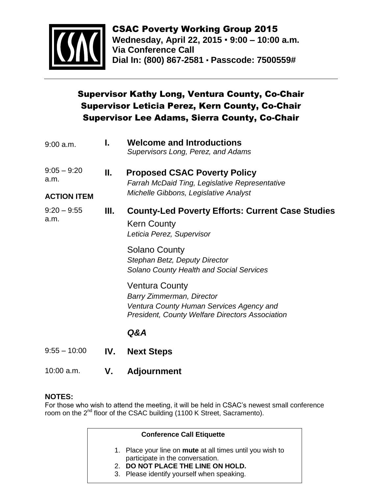

CSAC Poverty Working Group 2015 **Wednesday, April 22, 2015 9:00 – 10:00 a.m. Via Conference Call Dial In: (800) 867-2581 Passcode: 7500559#**

## Supervisor Kathy Long, Ventura County, Co-Chair Supervisor Leticia Perez, Kern County, Co-Chair Supervisor Lee Adams, Sierra County, Co-Chair

| $9:00$ a.m.           | ı.  | <b>Welcome and Introductions</b><br>Supervisors Long, Perez, and Adams                                                                                   |
|-----------------------|-----|----------------------------------------------------------------------------------------------------------------------------------------------------------|
| $9:05 - 9:20$<br>a.m. | Ш.  | <b>Proposed CSAC Poverty Policy</b><br>Farrah McDaid Ting, Legislative Representative<br>Michelle Gibbons, Legislative Analyst                           |
| <b>ACTION ITEM</b>    |     |                                                                                                                                                          |
| $9:20 - 9:55$<br>a.m. | Ш.  | <b>County-Led Poverty Efforts: Current Case Studies</b><br><b>Kern County</b><br>Leticia Perez, Supervisor                                               |
|                       |     | <b>Solano County</b><br>Stephan Betz, Deputy Director<br><b>Solano County Health and Social Services</b>                                                 |
|                       |     | Ventura County<br><b>Barry Zimmerman, Director</b><br>Ventura County Human Services Agency and<br><b>President, County Welfare Directors Association</b> |
|                       |     | Q&A                                                                                                                                                      |
| $9:55 - 10:00$        | IV. | <b>Next Steps</b>                                                                                                                                        |

10:00 a.m. **V. Adjournment**

## **NOTES:**

For those who wish to attend the meeting, it will be held in CSAC's newest small conference room on the 2<sup>nd</sup> floor of the CSAC building (1100 K Street, Sacramento).

### **Conference Call Etiquette**

- 1. Place your line on **mute** at all times until you wish to participate in the conversation.
- 2. **DO NOT PLACE THE LINE ON HOLD.**
- 3. Please identify yourself when speaking.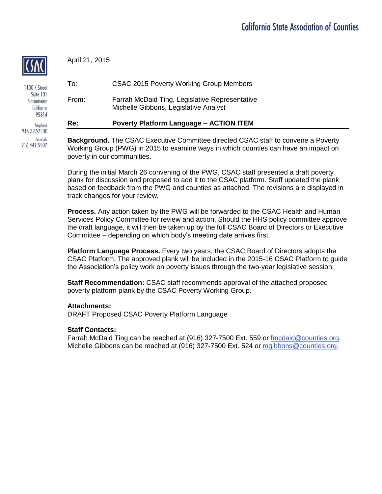April 21, 2015

| Re:   | <b>Poverty Platform Language - ACTION ITEM</b>                                          |
|-------|-----------------------------------------------------------------------------------------|
| From: | Farrah McDaid Ting, Legislative Representative<br>Michelle Gibbons, Legislative Analyst |
| To:   | CSAC 2015 Poverty Working Group Members                                                 |

**Background.** The CSAC Executive Committee directed CSAC staff to convene a Poverty Working Group (PWG) in 2015 to examine ways in which counties can have an impact on poverty in our communities.

During the initial March 26 convening of the PWG, CSAC staff presented a draft poverty plank for discussion and proposed to add it to the CSAC platform. Staff updated the plank based on feedback from the PWG and counties as attached. The revisions are displayed in track changes for your review.

**Process.** Any action taken by the PWG will be forwarded to the CSAC Health and Human Services Policy Committee for review and action. Should the HHS policy committee approve the draft language, it will then be taken up by the full CSAC Board of Directors or Executive Committee – depending on which body's meeting date arrives first.

**Platform Language Process.** Every two years, the CSAC Board of Directors adopts the CSAC Platform. The approved plank will be included in the 2015-16 CSAC Platform to guide the Association's policy work on poverty issues through the two-year legislative session.

**Staff Recommendation:** CSAC staff recommends approval of the attached proposed poverty platform plank by the CSAC Poverty Working Group.

#### **Attachments:**

DRAFT Proposed CSAC Poverty Platform Language

#### **Staff Contacts:**

Farrah McDaid Ting can be reached at (916) 327-7500 Ext. 559 or [fmcdaid@counties.org.](mailto:fmcdaid@counties.org) Michelle Gibbons can be reached at (916) 327-7500 Ext. 524 or [mgibbons@counties.org.](mailto:mgibbons@counties.org)

1100 K Street Suite 101 Sacramento California 95814 Telephone 916.327-7500

Facsimile 916.441.5507